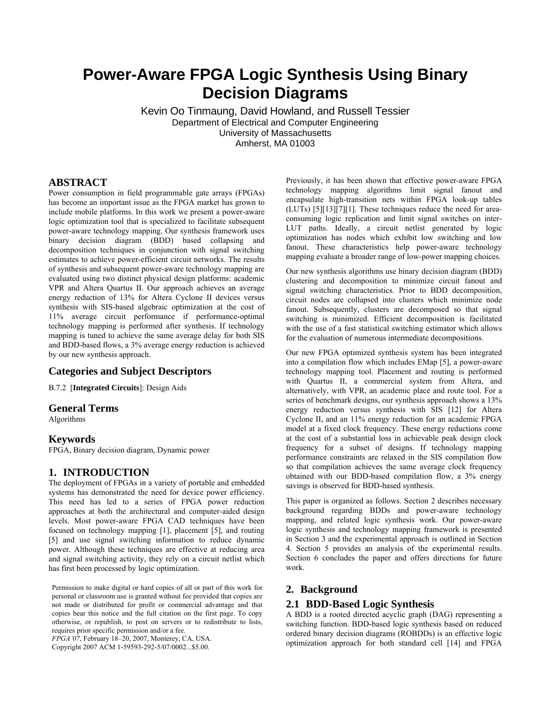# **Power-Aware FPGA Logic Synthesis Using Binary Decision Diagrams**

Kevin Oo Tinmaung, David Howland, and Russell Tessier Department of Electrical and Computer Engineering University of Massachusetts Amherst, MA 01003

### **ABSTRACT**

Power consumption in field programmable gate arrays (FPGAs) has become an important issue as the FPGA market has grown to include mobile platforms. In this work we present a power-aware logic optimization tool that is specialized to facilitate subsequent power-aware technology mapping. Our synthesis framework uses binary decision diagram (BDD) based collapsing and decomposition techniques in conjunction with signal switching estimates to achieve power-efficient circuit networks. The results of synthesis and subsequent power-aware technology mapping are evaluated using two distinct physical design platforms: academic VPR and Altera Quartus II. Our approach achieves an average energy reduction of 13% for Altera Cyclone II devices versus synthesis with SIS-based algebraic optimization at the cost of 11% average circuit performance if performance-optimal technology mapping is performed after synthesis. If technology mapping is tuned to achieve the same average delay for both SIS and BDD-based flows, a 3% average energy reduction is achieved by our new synthesis approach.

## **Categories and Subject Descriptors**

B.7.2 [**Integrated Circuits**]: Design Aids

#### **General Terms**

Algorithms

#### **Keywords**

FPGA, Binary decision diagram, Dynamic power

#### **1. INTRODUCTION**

The deployment of FPGAs in a variety of portable and embedded systems has demonstrated the need for device power efficiency. This need has led to a series of FPGA power reduction approaches at both the architectural and computer-aided design levels. Most power-aware FPGA CAD techniques have been focused on technology mapping [1], placement [5], and routing [5] and use signal switching information to reduce dynamic power. Although these techniques are effective at reducing area and signal switching activity, they rely on a circuit netlist which has first been processed by logic optimization.

Permission to make digital or hard copies of all or part of this work for personal or classroom use is granted without fee provided that copies are not made or distributed for profit or commercial advantage and that copies bear this notice and the full citation on the first page. To copy otherwise, or republish, to post on servers or to redistribute to lists, requires prior specific permission and/or a fee.

*FPGA'07*, February 18–20, 2007, Monterey, CA, USA.

Copyright 2007 ACM 1-59593-292-5/07/0002...\$5.00.

Previously, it has been shown that effective power-aware FPGA technology mapping algorithms limit signal fanout and encapsulate high-transition nets within FPGA look-up tables (LUTs) [5][13][7][1]. These techniques reduce the need for areaconsuming logic replication and limit signal switches on inter-LUT paths. Ideally, a circuit netlist generated by logic optimization has nodes which exhibit low switching and low fanout. These characteristics help power-aware technology mapping evaluate a broader range of low-power mapping choices.

Our new synthesis algorithms use binary decision diagram (BDD) clustering and decomposition to minimize circuit fanout and signal switching characteristics. Prior to BDD decomposition, circuit nodes are collapsed into clusters which minimize node fanout. Subsequently, clusters are decomposed so that signal switching is minimized. Efficient decomposition is facilitated with the use of a fast statistical switching estimator which allows for the evaluation of numerous intermediate decompositions.

Our new FPGA optimized synthesis system has been integrated into a compilation flow which includes EMap [5], a power-aware technology mapping tool. Placement and routing is performed with Quartus II, a commercial system from Altera, and alternatively, with VPR, an academic place and route tool. For a series of benchmark designs, our synthesis approach shows a 13% energy reduction versus synthesis with SIS [12] for Altera Cyclone II, and an 11% energy reduction for an academic FPGA model at a fixed clock frequency. These energy reductions come at the cost of a substantial loss in achievable peak design clock frequency for a subset of designs. If technology mapping performance constraints are relaxed in the SIS compilation flow so that compilation achieves the same average clock frequency obtained with our BDD-based compilation flow, a 3% energy savings is observed for BDD-based synthesis.

This paper is organized as follows. Section 2 describes necessary background regarding BDDs and power-aware technology mapping, and related logic synthesis work. Our power-aware logic synthesis and technology mapping framework is presented in Section 3 and the experimental approach is outlined in Section 4. Section 5 provides an analysis of the experimental results. Section 6 concludes the paper and offers directions for future work.

## **2. Background**

## **2.1 BDD-Based Logic Synthesis**

A BDD is a rooted directed acyclic graph (DAG) representing a switching function. BDD-based logic synthesis based on reduced ordered binary decision diagrams (ROBDDs) is an effective logic optimization approach for both standard cell [14] and FPGA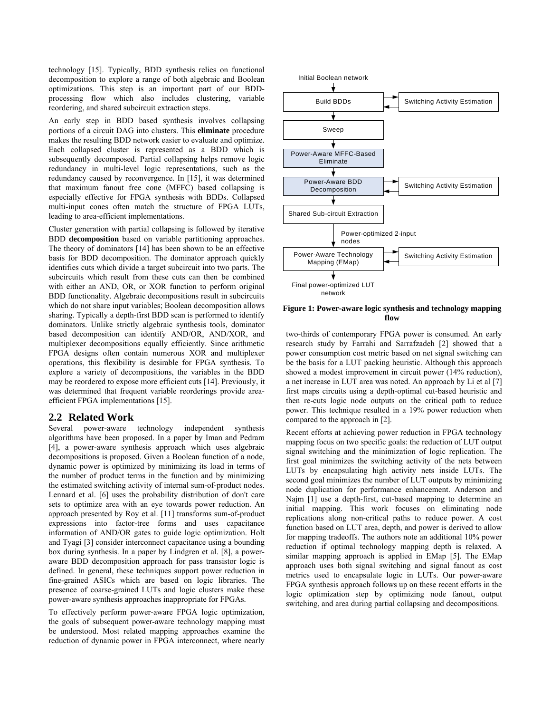technology [15]. Typically, BDD synthesis relies on functional decomposition to explore a range of both algebraic and Boolean optimizations. This step is an important part of our BDDprocessing flow which also includes clustering, variable reordering, and shared subcircuit extraction steps.

An early step in BDD based synthesis involves collapsing portions of a circuit DAG into clusters. This **eliminate** procedure makes the resulting BDD network easier to evaluate and optimize. Each collapsed cluster is represented as a BDD which is subsequently decomposed. Partial collapsing helps remove logic redundancy in multi-level logic representations, such as the redundancy caused by reconvergence. In [15], it was determined that maximum fanout free cone (MFFC) based collapsing is especially effective for FPGA synthesis with BDDs. Collapsed multi-input cones often match the structure of FPGA LUTs, leading to area-efficient implementations.

Cluster generation with partial collapsing is followed by iterative BDD **decomposition** based on variable partitioning approaches. The theory of dominators [14] has been shown to be an effective basis for BDD decomposition. The dominator approach quickly identifies cuts which divide a target subcircuit into two parts. The subcircuits which result from these cuts can then be combined with either an AND, OR, or XOR function to perform original BDD functionality. Algebraic decompositions result in subcircuits which do not share input variables; Boolean decomposition allows sharing. Typically a depth-first BDD scan is performed to identify dominators. Unlike strictly algebraic synthesis tools, dominator based decomposition can identify AND/OR, AND/XOR, and multiplexer decompositions equally efficiently. Since arithmetic FPGA designs often contain numerous XOR and multiplexer operations, this flexibility is desirable for FPGA synthesis. To explore a variety of decompositions, the variables in the BDD may be reordered to expose more efficient cuts [14]. Previously, it was determined that frequent variable reorderings provide areaefficient FPGA implementations [15].

#### **2.2 Related Work**

Several power-aware technology independent synthesis algorithms have been proposed. In a paper by Iman and Pedram [4], a power-aware synthesis approach which uses algebraic decompositions is proposed. Given a Boolean function of a node, dynamic power is optimized by minimizing its load in terms of the number of product terms in the function and by minimizing the estimated switching activity of internal sum-of-product nodes. Lennard et al. [6] uses the probability distribution of don't care sets to optimize area with an eye towards power reduction. An approach presented by Roy et al. [11] transforms sum-of-product expressions into factor-tree forms and uses capacitance information of AND/OR gates to guide logic optimization. Holt and Tyagi [3] consider interconnect capacitance using a bounding box during synthesis. In a paper by Lindgren et al. [8], a poweraware BDD decomposition approach for pass transistor logic is defined. In general, these techniques support power reduction in fine-grained ASICs which are based on logic libraries. The presence of coarse-grained LUTs and logic clusters make these power-aware synthesis approaches inappropriate for FPGAs.

To effectively perform power-aware FPGA logic optimization, the goals of subsequent power-aware technology mapping must be understood. Most related mapping approaches examine the reduction of dynamic power in FPGA interconnect, where nearly



**Figure 1: Power-aware logic synthesis and technology mapping flow** 

two-thirds of contemporary FPGA power is consumed. An early research study by Farrahi and Sarrafzadeh [2] showed that a power consumption cost metric based on net signal switching can be the basis for a LUT packing heuristic. Although this approach showed a modest improvement in circuit power (14% reduction), a net increase in LUT area was noted. An approach by Li et al [7] first maps circuits using a depth-optimal cut-based heuristic and then re-cuts logic node outputs on the critical path to reduce power. This technique resulted in a 19% power reduction when compared to the approach in [2].

Recent efforts at achieving power reduction in FPGA technology mapping focus on two specific goals: the reduction of LUT output signal switching and the minimization of logic replication. The first goal minimizes the switching activity of the nets between LUTs by encapsulating high activity nets inside LUTs. The second goal minimizes the number of LUT outputs by minimizing node duplication for performance enhancement. Anderson and Najm [1] use a depth-first, cut-based mapping to determine an initial mapping. This work focuses on eliminating node replications along non-critical paths to reduce power. A cost function based on LUT area, depth, and power is derived to allow for mapping tradeoffs. The authors note an additional 10% power reduction if optimal technology mapping depth is relaxed. A similar mapping approach is applied in EMap [5]. The EMap approach uses both signal switching and signal fanout as cost metrics used to encapsulate logic in LUTs. Our power-aware FPGA synthesis approach follows up on these recent efforts in the logic optimization step by optimizing node fanout, output switching, and area during partial collapsing and decompositions.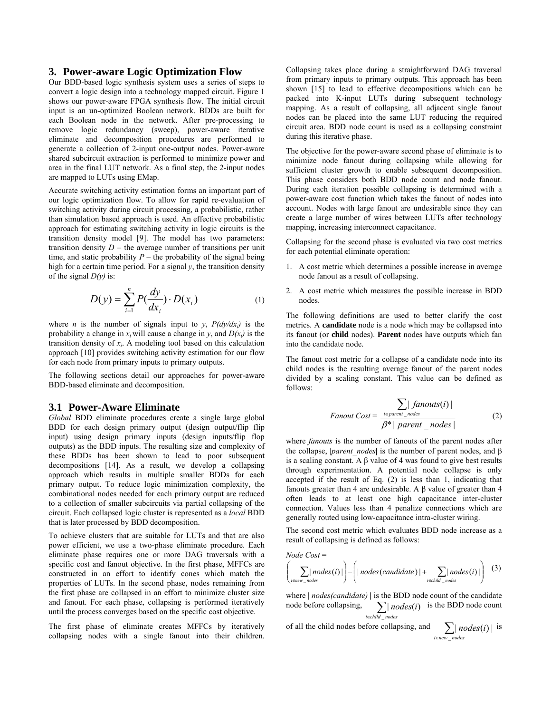#### **3. Power-aware Logic Optimization Flow**

Our BDD-based logic synthesis system uses a series of steps to convert a logic design into a technology mapped circuit. Figure 1 shows our power-aware FPGA synthesis flow. The initial circuit input is an un-optimized Boolean network. BDDs are built for each Boolean node in the network. After pre-processing to remove logic redundancy (sweep), power-aware iterative eliminate and decomposition procedures are performed to generate a collection of 2-input one-output nodes. Power-aware shared subcircuit extraction is performed to minimize power and area in the final LUT network. As a final step, the 2-input nodes are mapped to LUTs using EMap.

Accurate switching activity estimation forms an important part of our logic optimization flow. To allow for rapid re-evaluation of switching activity during circuit processing, a probabilistic, rather than simulation based approach is used. An effective probabilistic approach for estimating switching activity in logic circuits is the transition density model [9]. The model has two parameters: transition density  $D$  – the average number of transitions per unit time, and static probability  $P$  – the probability of the signal being high for a certain time period. For a signal  $y$ , the transition density of the signal  $D(y)$  is:

$$
D(y) = \sum_{i=1}^{n} P(\frac{dy}{dx_i}) \cdot D(x_i)
$$
 (1)

where *n* is the number of signals input to *y*,  $P(dy/dx_i)$  is the probability a change in  $x_i$  will cause a change in *y*, and  $D(x_i)$  is the transition density of  $x_i$ . A modeling tool based on this calculation approach [10] provides switching activity estimation for our flow for each node from primary inputs to primary outputs.

The following sections detail our approaches for power-aware BDD-based eliminate and decomposition.

#### **3.1 Power-Aware Eliminate**

*Global* BDD eliminate procedures create a single large global BDD for each design primary output (design output/flip flip input) using design primary inputs (design inputs/flip flop outputs) as the BDD inputs. The resulting size and complexity of these BDDs has been shown to lead to poor subsequent decompositions [14]. As a result, we develop a collapsing approach which results in multiple smaller BDDs for each primary output. To reduce logic minimization complexity, the combinational nodes needed for each primary output are reduced to a collection of smaller subcircuits via partial collapsing of the circuit. Each collapsed logic cluster is represented as a *local* BDD that is later processed by BDD decomposition.

To achieve clusters that are suitable for LUTs and that are also power efficient, we use a two-phase eliminate procedure. Each eliminate phase requires one or more DAG traversals with a specific cost and fanout objective. In the first phase, MFFCs are constructed in an effort to identify cones which match the properties of LUTs. In the second phase, nodes remaining from the first phase are collapsed in an effort to minimize cluster size and fanout. For each phase, collapsing is performed iteratively until the process converges based on the specific cost objective.

The first phase of eliminate creates MFFCs by iteratively collapsing nodes with a single fanout into their children.

Collapsing takes place during a straightforward DAG traversal from primary inputs to primary outputs. This approach has been shown [15] to lead to effective decompositions which can be packed into K-input LUTs during subsequent technology mapping. As a result of collapsing, all adjacent single fanout nodes can be placed into the same LUT reducing the required circuit area. BDD node count is used as a collapsing constraint during this iterative phase.

The objective for the power-aware second phase of eliminate is to minimize node fanout during collapsing while allowing for sufficient cluster growth to enable subsequent decomposition. This phase considers both BDD node count and node fanout. During each iteration possible collapsing is determined with a power-aware cost function which takes the fanout of nodes into account. Nodes with large fanout are undesirable since they can create a large number of wires between LUTs after technology mapping, increasing interconnect capacitance.

Collapsing for the second phase is evaluated via two cost metrics for each potential eliminate operation:

- 1. A cost metric which determines a possible increase in average node fanout as a result of collapsing.
- 2. A cost metric which measures the possible increase in BDD nodes.

The following definitions are used to better clarify the cost metrics. A **candidate** node is a node which may be collapsed into its fanout (or **child** nodes). **Parent** nodes have outputs which fan into the candidate node.

The fanout cost metric for a collapse of a candidate node into its child nodes is the resulting average fanout of the parent nodes divided by a scaling constant. This value can be defined as follows:

$$
Fanout Cost = \frac{\sum_{i \in parent\_nodes} |fanouts(i)|}{\beta^* | parent\_nodes |}
$$
 (2)

where *fanouts* is the number of fanouts of the parent nodes after the collapse, **|***parent\_nodes***|** is the number of parent nodes, and β is a scaling constant. A β value of 4 was found to give best results through experimentation. A potential node collapse is only accepted if the result of Eq. (2) is less than 1, indicating that fanouts greater than 4 are undesirable. A β value of greater than 4 often leads to at least one high capacitance inter-cluster connection. Values less than 4 penalize connections which are generally routed using low-capacitance intra-cluster wiring.

The second cost metric which evaluates BDD node increase as a result of collapsing is defined as follows:

Node Cost =  
\n
$$
\left(\sum_{i \in new\_nodes}(i) \mid - \left(\mid nodes(candidate) \mid + \sum_{i \in child\_nodes}(i) \mid\right) \right)
$$
(3)

where **|** *nodes(candidate)* **|** is the BDD node count of the candidate node before collapsing, ∑*i*∈*child nodes*  $|$  *nodes* $(i)$  is the BDD node count  $i \in child$  nodes

of all the child nodes before collapsing, and 
$$
\sum_{i \in new\_nodes}(i) | is
$$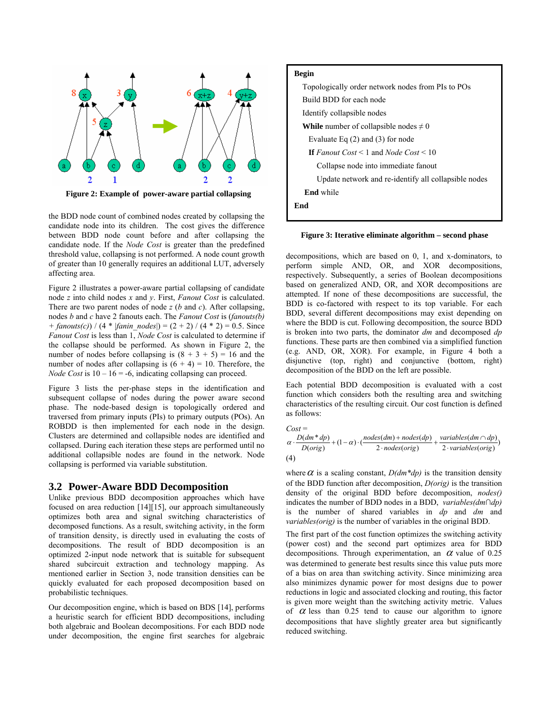

**Figure 2: Example of power-aware partial collapsing** 

the BDD node count of combined nodes created by collapsing the candidate node into its children. The cost gives the difference between BDD node count before and after collapsing the candidate node. If the *Node Cost* is greater than the predefined threshold value, collapsing is not performed. A node count growth of greater than 10 generally requires an additional LUT, adversely affecting area.

Figure 2 illustrates a power-aware partial collapsing of candidate node *z* into child nodes *x* and *y*. First, *Fanout Cost* is calculated. There are two parent nodes of node *z* (*b* and *c*). After collapsing, nodes *b* and *c* have 2 fanouts each. The *Fanout Cost* is (*fanouts(b) + fanouts(c)*) / (4 \* |*fanin\_nodes*|) = (2 + 2) / (4 \* 2) = 0.5. Since *Fanout Cost* is less than 1, *Node Cost* is calculated to determine if the collapse should be performed. As shown in Figure 2, the number of nodes before collapsing is  $(8 + 3 + 5) = 16$  and the number of nodes after collapsing is  $(6 + 4) = 10$ . Therefore, the *Node Cost* is  $10 - 16 = -6$ , indicating collapsing can proceed.

Figure 3 lists the per-phase steps in the identification and subsequent collapse of nodes during the power aware second phase. The node-based design is topologically ordered and traversed from primary inputs (PIs) to primary outputs (POs). An ROBDD is then implemented for each node in the design. Clusters are determined and collapsible nodes are identified and collapsed. During each iteration these steps are performed until no additional collapsible nodes are found in the network. Node collapsing is performed via variable substitution.

#### **3.2 Power-Aware BDD Decomposition**

Unlike previous BDD decomposition approaches which have focused on area reduction [14][15], our approach simultaneously optimizes both area and signal switching characteristics of decomposed functions. As a result, switching activity, in the form of transition density, is directly used in evaluating the costs of decompositions. The result of BDD decomposition is an optimized 2-input node network that is suitable for subsequent shared subcircuit extraction and technology mapping. As mentioned earlier in Section 3, node transition densities can be quickly evaluated for each proposed decomposition based on probabilistic techniques.

Our decomposition engine, which is based on BDS [14], performs a heuristic search for efficient BDD decompositions, including both algebraic and Boolean decompositions. For each BDD node under decomposition, the engine first searches for algebraic



#### **Figure 3: Iterative eliminate algorithm – second phase**

decompositions, which are based on 0, 1, and x-dominators, to perform simple AND, OR, and XOR decompositions, respectively. Subsequently, a series of Boolean decompositions based on generalized AND, OR, and XOR decompositions are attempted. If none of these decompositions are successful, the BDD is co-factored with respect to its top variable. For each BDD, several different decompositions may exist depending on where the BDD is cut. Following decomposition, the source BDD is broken into two parts, the dominator *dm* and decomposed *dp*  functions. These parts are then combined via a simplified function (e.g. AND, OR, XOR). For example, in Figure 4 both a disjunctive (top, right) and conjunctive (bottom, right) decomposition of the BDD on the left are possible.

Each potential BDD decomposition is evaluated with a cost function which considers both the resulting area and switching characteristics of the resulting circuit. Our cost function is defined as follows:

$$
Cost = \n\alpha \cdot \frac{D(dm * dp)}{D(orig)} + (1 - \alpha) \cdot \left( \frac{nodes(dm) + nodes(dp)}{2 \cdot nodes(orig)} + \frac{variables(dm \cap dp)}{2 \cdot variables(orig)} \n\tag{4}
$$

where  $\alpha$  is a scaling constant,  $D(dm * dp)$  is the transition density of the BDD function after decomposition, *D(orig)* is the transition density of the original BDD before decomposition, *nodes()*  indicates the number of BDD nodes in a BDD, *variables(dm∩dp)* is the number of shared variables in *dp* and *dm* and *variables(orig)* is the number of variables in the original BDD.

The first part of the cost function optimizes the switching activity (power cost) and the second part optimizes area for BDD decompositions. Through experimentation, an  $\alpha$  value of 0.25 was determined to generate best results since this value puts more of a bias on area than switching activity. Since minimizing area also minimizes dynamic power for most designs due to power reductions in logic and associated clocking and routing, this factor is given more weight than the switching activity metric. Values of  $\alpha$  less than 0.25 tend to cause our algorithm to ignore decompositions that have slightly greater area but significantly reduced switching.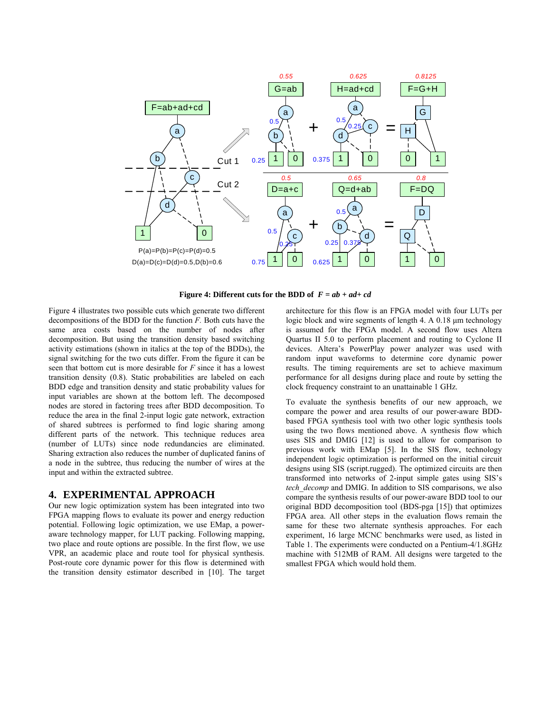

**Figure 4: Different cuts for the BDD of** *F = ab + ad+ cd*

Figure 4 illustrates two possible cuts which generate two different decompositions of the BDD for the function *F.* Both cuts have the same area costs based on the number of nodes after decomposition. But using the transition density based switching activity estimations (shown in italics at the top of the BDDs), the signal switching for the two cuts differ. From the figure it can be seen that bottom cut is more desirable for *F* since it has a lowest transition density (0.8). Static probabilities are labeled on each BDD edge and transition density and static probability values for input variables are shown at the bottom left. The decomposed nodes are stored in factoring trees after BDD decomposition. To reduce the area in the final 2-input logic gate network, extraction of shared subtrees is performed to find logic sharing among different parts of the network. This technique reduces area (number of LUTs) since node redundancies are eliminated. Sharing extraction also reduces the number of duplicated fanins of a node in the subtree, thus reducing the number of wires at the input and within the extracted subtree.

#### **4. EXPERIMENTAL APPROACH**

Our new logic optimization system has been integrated into two FPGA mapping flows to evaluate its power and energy reduction potential. Following logic optimization, we use EMap, a poweraware technology mapper, for LUT packing. Following mapping, two place and route options are possible. In the first flow, we use VPR, an academic place and route tool for physical synthesis. Post-route core dynamic power for this flow is determined with the transition density estimator described in [10]. The target

architecture for this flow is an FPGA model with four LUTs per logic block and wire segments of length 4. A 0.18 µm technology is assumed for the FPGA model. A second flow uses Altera Quartus II 5.0 to perform placement and routing to Cyclone II devices. Altera's PowerPlay power analyzer was used with random input waveforms to determine core dynamic power results. The timing requirements are set to achieve maximum performance for all designs during place and route by setting the clock frequency constraint to an unattainable 1 GHz.

To evaluate the synthesis benefits of our new approach, we compare the power and area results of our power-aware BDDbased FPGA synthesis tool with two other logic synthesis tools using the two flows mentioned above. A synthesis flow which uses SIS and DMIG [12] is used to allow for comparison to previous work with EMap [5]. In the SIS flow, technology independent logic optimization is performed on the initial circuit designs using SIS (script.rugged). The optimized circuits are then transformed into networks of 2-input simple gates using SIS's *tech\_decomp* and DMIG. In addition to SIS comparisons, we also compare the synthesis results of our power-aware BDD tool to our original BDD decomposition tool (BDS-pga [15]) that optimizes FPGA area. All other steps in the evaluation flows remain the same for these two alternate synthesis approaches. For each experiment, 16 large MCNC benchmarks were used, as listed in Table 1. The experiments were conducted on a Pentium-4/1.8GHz machine with 512MB of RAM. All designs were targeted to the smallest FPGA which would hold them.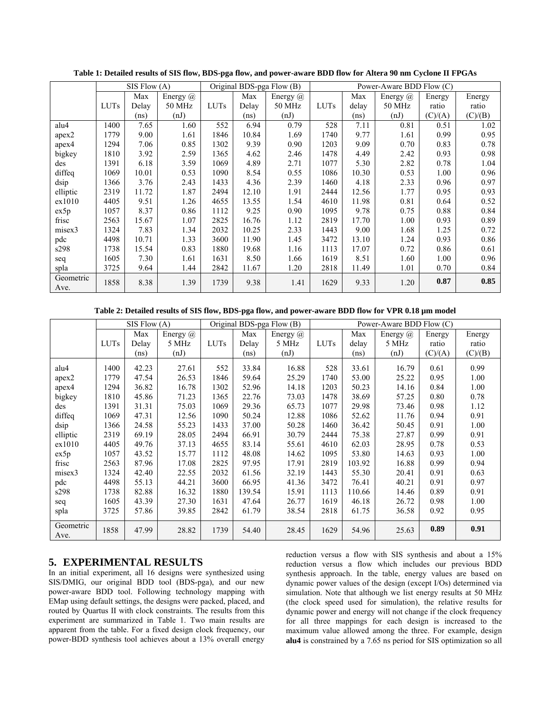|                   | SIS Flow (A) |       |          | Original BDS-pga Flow (B) |       |          | Power-Aware BDD Flow (C) |       |          |         |         |
|-------------------|--------------|-------|----------|---------------------------|-------|----------|--------------------------|-------|----------|---------|---------|
|                   |              | Max   | Energy @ |                           | Max   | Energy @ |                          | Max   | Energy @ | Energy  | Energy  |
|                   | <b>LUTs</b>  | Delay | 50 MHz   | <b>LUTs</b>               | Delay | 50 MHz   | <b>LUTs</b>              | delay | 50 MHz   | ratio   | ratio   |
|                   |              | (ns)  | (nJ)     |                           | (ns)  | (nJ)     |                          | (ns)  | (nJ)     | (C)/(A) | (C)/(B) |
| alu4              | 1400         | 7.65  | 1.60     | 552                       | 6.94  | 0.79     | 528                      | 7.11  | 0.81     | 0.51    | 1.02    |
| apex2             | 1779         | 9.00  | 1.61     | 1846                      | 10.84 | 1.69     | 1740                     | 9.77  | 1.61     | 0.99    | 0.95    |
| apex4             | 1294         | 7.06  | 0.85     | 1302                      | 9.39  | 0.90     | 1203                     | 9.09  | 0.70     | 0.83    | 0.78    |
| bigkey            | 1810         | 3.92  | 2.59     | 1365                      | 4.62  | 2.46     | 1478                     | 4.49  | 2.42     | 0.93    | 0.98    |
| des               | 1391         | 6.18  | 3.59     | 1069                      | 4.89  | 2.71     | 1077                     | 5.30  | 2.82     | 0.78    | 1.04    |
| diffeq            | 1069         | 10.01 | 0.53     | 1090                      | 8.54  | 0.55     | 1086                     | 10.30 | 0.53     | 1.00    | 0.96    |
| dsip              | 1366         | 3.76  | 2.43     | 1433                      | 4.36  | 2.39     | 1460                     | 4.18  | 2.33     | 0.96    | 0.97    |
| elliptic          | 2319         | 11.72 | 1.87     | 2494                      | 12.10 | 1.91     | 2444                     | 12.56 | 1.77     | 0.95    | 0.93    |
| ex1010            | 4405         | 9.51  | 1.26     | 4655                      | 13.55 | 1.54     | 4610                     | 11.98 | 0.81     | 0.64    | 0.52    |
| ex5p              | 1057         | 8.37  | 0.86     | 1112                      | 9.25  | 0.90     | 1095                     | 9.78  | 0.75     | 0.88    | 0.84    |
| frisc             | 2563         | 15.67 | 1.07     | 2825                      | 16.76 | 1.12     | 2819                     | 17.70 | 1.00     | 0.93    | 0.89    |
| misex3            | 1324         | 7.83  | 1.34     | 2032                      | 10.25 | 2.33     | 1443                     | 9.00  | 1.68     | 1.25    | 0.72    |
| pdc               | 4498         | 10.71 | 1.33     | 3600                      | 11.90 | 1.45     | 3472                     | 13.10 | 1.24     | 0.93    | 0.86    |
| s298              | 1738         | 15.54 | 0.83     | 1880                      | 19.68 | 1.16     | 1113                     | 17.07 | 0.72     | 0.86    | 0.61    |
| seq               | 1605         | 7.30  | 1.61     | 1631                      | 8.50  | 1.66     | 1619                     | 8.51  | 1.60     | 1.00    | 0.96    |
| spla              | 3725         | 9.64  | 1.44     | 2842                      | 11.67 | 1.20     | 2818                     | 11.49 | 1.01     | 0.70    | 0.84    |
| Geometric<br>Ave. | 1858         | 8.38  | 1.39     | 1739                      | 9.38  | 1.41     | 1629                     | 9.33  | 1.20     | 0.87    | 0.85    |

**Table 1: Detailed results of SIS flow, BDS-pga flow, and power-aware BDD flow for Altera 90 nm Cyclone II FPGAs** 

**Table 2: Detailed results of SIS flow, BDS-pga flow, and power-aware BDD flow for VPR 0.18 µm model** 

|                   | SIS Flow(A) |                   |          | Original BDS-pga Flow (B) |        |                 | Power-Aware BDD Flow (C) |        |          |         |         |
|-------------------|-------------|-------------------|----------|---------------------------|--------|-----------------|--------------------------|--------|----------|---------|---------|
|                   |             | Max               | Energy @ |                           | Max    | Energy $\omega$ |                          | Max    | Energy @ | Energy  | Energy  |
|                   | <b>LUTs</b> | Delay             | 5 MHz    | <b>LUTs</b>               | Delay  | 5 MHz           | <b>LUTs</b>              | delay  | 5 MHz    | ratio   | ratio   |
|                   |             | (n <sub>S</sub> ) | (nJ)     |                           | (ns)   | (nJ)            |                          | (ns)   | (nJ)     | (C)/(A) | (C)/(B) |
| alu4              | 1400        | 42.23             | 27.61    | 552                       | 33.84  | 16.88           | 528                      | 33.61  | 16.79    | 0.61    | 0.99    |
| apex2             | 1779        | 47.54             | 26.53    | 1846                      | 59.64  | 25.29           | 1740                     | 53.00  | 25.22    | 0.95    | 1.00    |
| apex4             | 1294        | 36.82             | 16.78    | 1302                      | 52.96  | 14.18           | 1203                     | 50.23  | 14.16    | 0.84    | 1.00    |
| bigkey            | 1810        | 45.86             | 71.23    | 1365                      | 22.76  | 73.03           | 1478                     | 38.69  | 57.25    | 0.80    | 0.78    |
| des               | 1391        | 31.31             | 75.03    | 1069                      | 29.36  | 65.73           | 1077                     | 29.98  | 73.46    | 0.98    | 1.12    |
| diffeq            | 1069        | 47.31             | 12.56    | 1090                      | 50.24  | 12.88           | 1086                     | 52.62  | 11.76    | 0.94    | 0.91    |
| dsip              | 1366        | 24.58             | 55.23    | 1433                      | 37.00  | 50.28           | 1460                     | 36.42  | 50.45    | 0.91    | 1.00    |
| elliptic          | 2319        | 69.19             | 28.05    | 2494                      | 66.91  | 30.79           | 2444                     | 75.38  | 27.87    | 0.99    | 0.91    |
| ex1010            | 4405        | 49.76             | 37.13    | 4655                      | 83.14  | 55.61           | 4610                     | 62.03  | 28.95    | 0.78    | 0.53    |
| ex5p              | 1057        | 43.52             | 15.77    | 1112                      | 48.08  | 14.62           | 1095                     | 53.80  | 14.63    | 0.93    | 1.00    |
| frisc             | 2563        | 87.96             | 17.08    | 2825                      | 97.95  | 17.91           | 2819                     | 103.92 | 16.88    | 0.99    | 0.94    |
| misex3            | 1324        | 42.40             | 22.55    | 2032                      | 61.56  | 32.19           | 1443                     | 55.30  | 20.41    | 0.91    | 0.63    |
| pdc               | 4498        | 55.13             | 44.21    | 3600                      | 66.95  | 41.36           | 3472                     | 76.41  | 40.21    | 0.91    | 0.97    |
| s298              | 1738        | 82.88             | 16.32    | 1880                      | 139.54 | 15.91           | 1113                     | 110.66 | 14.46    | 0.89    | 0.91    |
| seq               | 1605        | 43.39             | 27.30    | 1631                      | 47.64  | 26.77           | 1619                     | 46.18  | 26.72    | 0.98    | 1.00    |
| spla              | 3725        | 57.86             | 39.85    | 2842                      | 61.79  | 38.54           | 2818                     | 61.75  | 36.58    | 0.92    | 0.95    |
| Geometric<br>Ave. | 1858        | 47.99             | 28.82    | 1739                      | 54.40  | 28.45           | 1629                     | 54.96  | 25.63    | 0.89    | 0.91    |

## **5. EXPERIMENTAL RESULTS**

In an initial experiment, all 16 designs were synthesized using SIS/DMIG, our original BDD tool (BDS-pga), and our new power-aware BDD tool. Following technology mapping with EMap using default settings, the designs were packed, placed, and routed by Quartus II with clock constraints. The results from this experiment are summarized in Table 1. Two main results are apparent from the table. For a fixed design clock frequency, our power-BDD synthesis tool achieves about a 13% overall energy

reduction versus a flow with SIS synthesis and about a 15% reduction versus a flow which includes our previous BDD synthesis approach. In the table, energy values are based on dynamic power values of the design (except I/Os) determined via simulation. Note that although we list energy results at 50 MHz (the clock speed used for simulation), the relative results for dynamic power and energy will not change if the clock frequency for all three mappings for each design is increased to the maximum value allowed among the three. For example, design **alu4** is constrained by a 7.65 ns period for SIS optimization so all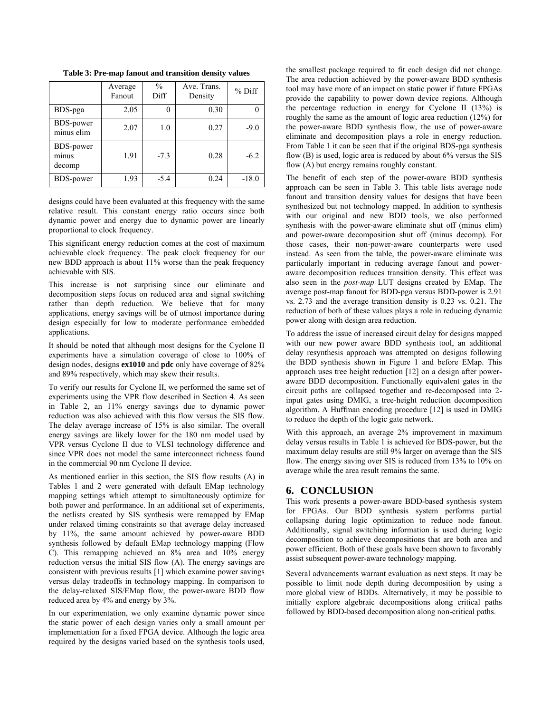|                              | Average<br>Fanout | $\frac{0}{0}$<br>Diff | Ave. Trans.<br>Density | $%$ Diff |
|------------------------------|-------------------|-----------------------|------------------------|----------|
| BDS-pga                      | 2.05              |                       | 0.30                   |          |
| BDS-power<br>minus elim      | 2.07              | 1.0                   | 0.27                   | $-9.0$   |
| BDS-power<br>minus<br>decomp | 1.91              | $-7.3$                | 0.28                   | $-6.2$   |
| <b>BDS-power</b>             | 1.93              | $-5.4$                | 0.24                   | $-18.0$  |

**Table 3: Pre-map fanout and transition density values** 

designs could have been evaluated at this frequency with the same relative result. This constant energy ratio occurs since both dynamic power and energy due to dynamic power are linearly proportional to clock frequency.

This significant energy reduction comes at the cost of maximum achievable clock frequency. The peak clock frequency for our new BDD approach is about 11% worse than the peak frequency achievable with SIS.

This increase is not surprising since our eliminate and decomposition steps focus on reduced area and signal switching rather than depth reduction. We believe that for many applications, energy savings will be of utmost importance during design especially for low to moderate performance embedded applications.

It should be noted that although most designs for the Cyclone II experiments have a simulation coverage of close to 100% of design nodes, designs **ex1010** and **pdc** only have coverage of 82% and 89% respectively, which may skew their results.

To verify our results for Cyclone II, we performed the same set of experiments using the VPR flow described in Section 4. As seen in Table 2, an 11% energy savings due to dynamic power reduction was also achieved with this flow versus the SIS flow. The delay average increase of 15% is also similar. The overall energy savings are likely lower for the 180 nm model used by VPR versus Cyclone II due to VLSI technology difference and since VPR does not model the same interconnect richness found in the commercial 90 nm Cyclone II device.

As mentioned earlier in this section, the SIS flow results (A) in Tables 1 and 2 were generated with default EMap technology mapping settings which attempt to simultaneously optimize for both power and performance. In an additional set of experiments, the netlists created by SIS synthesis were remapped by EMap under relaxed timing constraints so that average delay increased by 11%, the same amount achieved by power-aware BDD synthesis followed by default EMap technology mapping (Flow C). This remapping achieved an 8% area and 10% energy reduction versus the initial SIS flow (A). The energy savings are consistent with previous results [1] which examine power savings versus delay tradeoffs in technology mapping. In comparison to the delay-relaxed SIS/EMap flow, the power-aware BDD flow reduced area by 4% and energy by 3%.

In our experimentation, we only examine dynamic power since the static power of each design varies only a small amount per implementation for a fixed FPGA device. Although the logic area required by the designs varied based on the synthesis tools used,

the smallest package required to fit each design did not change. The area reduction achieved by the power-aware BDD synthesis tool may have more of an impact on static power if future FPGAs provide the capability to power down device regions. Although the percentage reduction in energy for Cyclone II (13%) is roughly the same as the amount of logic area reduction (12%) for the power-aware BDD synthesis flow, the use of power-aware eliminate and decomposition plays a role in energy reduction. From Table 1 it can be seen that if the original BDS-pga synthesis flow (B) is used, logic area is reduced by about 6% versus the SIS flow (A) but energy remains roughly constant.

The benefit of each step of the power-aware BDD synthesis approach can be seen in Table 3. This table lists average node fanout and transition density values for designs that have been synthesized but not technology mapped. In addition to synthesis with our original and new BDD tools, we also performed synthesis with the power-aware eliminate shut off (minus elim) and power-aware decomposition shut off (minus decomp). For those cases, their non-power-aware counterparts were used instead. As seen from the table, the power-aware eliminate was particularly important in reducing average fanout and poweraware decomposition reduces transition density. This effect was also seen in the *post-map* LUT designs created by EMap. The average post-map fanout for BDD-pga versus BDD-power is 2.91 vs. 2.73 and the average transition density is 0.23 vs. 0.21. The reduction of both of these values plays a role in reducing dynamic power along with design area reduction.

To address the issue of increased circuit delay for designs mapped with our new power aware BDD synthesis tool, an additional delay resynthesis approach was attempted on designs following the BDD synthesis shown in Figure 1 and before EMap. This approach uses tree height reduction [12] on a design after poweraware BDD decomposition. Functionally equivalent gates in the circuit paths are collapsed together and re-decomposed into 2 input gates using DMIG, a tree-height reduction decomposition algorithm. A Huffman encoding procedure [12] is used in DMIG to reduce the depth of the logic gate network.

With this approach, an average 2% improvement in maximum delay versus results in Table 1 is achieved for BDS-power, but the maximum delay results are still 9% larger on average than the SIS flow. The energy saving over SIS is reduced from 13% to 10% on average while the area result remains the same.

#### **6. CONCLUSION**

This work presents a power-aware BDD-based synthesis system for FPGAs. Our BDD synthesis system performs partial collapsing during logic optimization to reduce node fanout. Additionally, signal switching information is used during logic decomposition to achieve decompositions that are both area and power efficient. Both of these goals have been shown to favorably assist subsequent power-aware technology mapping.

Several advancements warrant evaluation as next steps. It may be possible to limit node depth during decomposition by using a more global view of BDDs. Alternatively, it may be possible to initially explore algebraic decompositions along critical paths followed by BDD-based decomposition along non-critical paths.